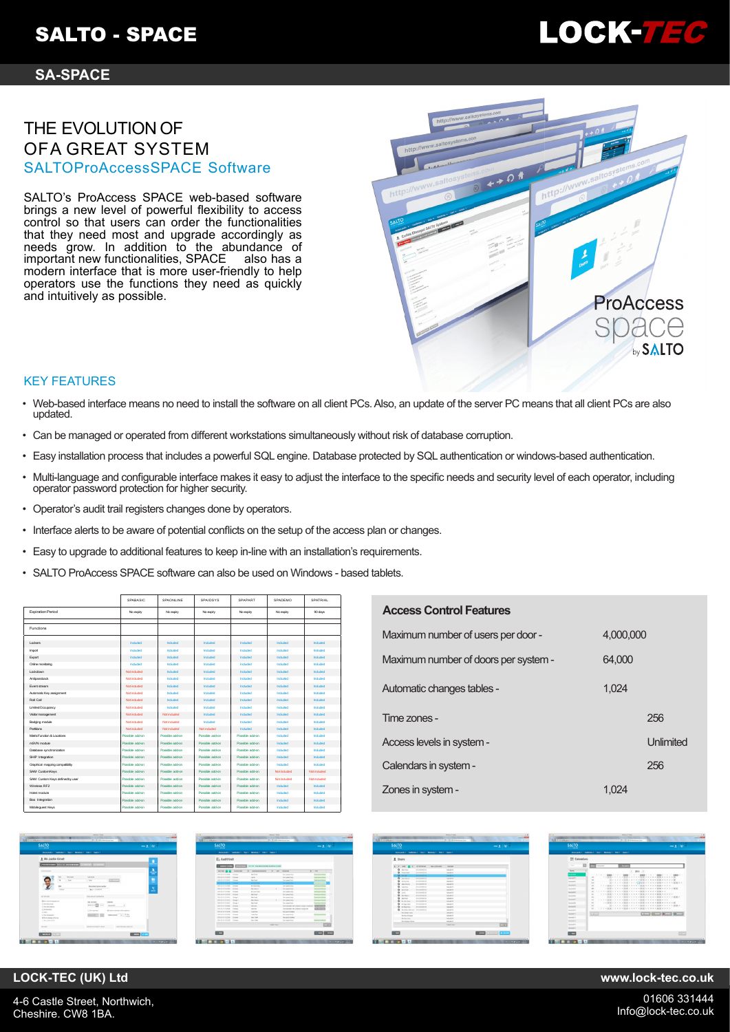## **SA-SPACE**

## THE EVOLUTION OF OFA GREAT SYSTEM SALTOProAccessSPACE Software

SALTO's ProAccess SPACE web-based software brings a new level of powerful flexibility to access control so that users can order the functionalities that they need most and upgrade accordingly as needs grow. In addition to the abundance of important new functionalities, SPACE also has a modern interface that is more user-friendly to help operators use the functions they need as quickly and intuitively as possible.



LOCK-7FC

## KEY FEATURES

- Web-based interface means no need to install the software on all client PCs. Also, an update of the server PC means that all client PCs are also updated.
- Can be managed or operated from different workstations simultaneously without risk of database corruption.
- Easy installation process that includes a powerful SQL engine. Database protected by SQL authentication or windows-based authentication.
- Multi-language and configurable interface makes it easy to adjust the interface to the specific needs and security level of each operator, including operator password protection for higher security.
- Operator's audit trail registers changes done by operators.
- Interface alerts to be aware of potential conflicts on the setup of the access plan or changes.
- Easy to upgrade to additional features to keep in-line with an installation's requirements.
- SALTO ProAccess SPACE software can also be used on Windows based tablets.

|                                 | SPABASIC        | SPAONLINE       | SPAIDSYS        | SPAPART         | SPADEMO         | SPATRIAL        |
|---------------------------------|-----------------|-----------------|-----------------|-----------------|-----------------|-----------------|
| <b>Expiration Period</b>        | No expity       | No expiry       | No expiry       | No expiry       | No expiry       | 90 days         |
| <b>Functions</b>                |                 |                 |                 |                 |                 |                 |
| Lockers                         | <b>Included</b> | Included        | Included        | Included        | <b>Included</b> | Induded         |
| Import                          | Included        | Included        | Included        | Included        | Included        | Induded         |
| Export                          | <b>Included</b> | Industrial      | Included        | Included        | <b>Included</b> | <b>Included</b> |
| Online monitoring               | Included        | Included        | Included        | Included        | Included        | Included        |
| Lockdown                        | Not included    | Included        | Included        | Included        | <b>Included</b> | Included        |
| Antipassback                    | Not included    | Included        | Included        | Included        | Included.       | Included        |
| Fyent stream                    | Not included    | Included        | Included        | Included        | <b>Included</b> | Included        |
| Automatic Key assignment        | Not included    | Included        | Included        | Included        | Included.       | Included        |
| Roll Call                       | Not included    | Included        | Included        | Included        | Included        | Induded         |
| Limited Occupancy               | Not included    | Included        | Included        | Included        | Included.       | Included        |
| Visitor management              | Not included    | Not included    | Included        | Included        | Included        | Induded         |
| Badging module                  | Not included    | Not included    | Included        | Included        | Included.       | Included        |
| Parttions                       | Not included    | Not included    | Not included    | Included        | Included        | Induded         |
| Matrix Function & Locations     | Presible adduxe | Possible add.on | Possible add.on | Preshie add.on  | <b>Included</b> | Included        |
| mSVN module                     | Presible addum  | Presible addum  | Possible add.on | Preshie add.on  | <b>Included</b> | Included        |
| Database synchronization        | Possible addum  | Possible addum  | Possible add.on | Preshie add.on  | <b>Included</b> | Included        |
| SHP Integration                 | Possible adduxe | Preshie add.on  | Possible add.on | Preshie add.m.  | <b>Included</b> | Included        |
| Graphical mapping compatibility | Possible adduxe | Preshie add.on  | Possible add.on | Possible add.on | Included.       | Included        |
| SAM CustomKeys                  | Possible add-on | Possible add-on | Possible add-on | Possible add-on | Not included    | Not included    |
| SAM Custom Keys definedby user  | Possible add-on | Possible add-on | Possible add-on | Possible add-on | Not included    | Not included    |
| Winnipeg RF2                    | Preshie arkton  | Preshie add.on  | Possible add.on | Possible add.on | Included        | Included        |
| Hotel module                    | Preshie add.on  | Preshie addys   | Possible add.on | Possible add.on | Included        | Included        |
| Bas Integration                 | Preshie arkton  | Preshie add.on  | Possible add.on | Possible add.on | Included        | Included        |
| Mobileguest Keys                | Preshie addan   | Preshie add.on  | Presible add on | Preshie add.on  | Included        | Included        |

## **Access Control Features**

| Maximum number of users per door -   | 4,000,000 |           |
|--------------------------------------|-----------|-----------|
| Maximum number of doors per system - | 64.000    |           |
| Automatic changes tables -           | 1.024     |           |
| Time zones -                         |           | 256       |
| Access levels in system -            |           | Unlimited |
| Calendars in system -                |           | 256       |
| Zones in system -                    | 1.024     |           |



| <b>SALTO</b>                        |                                                  |                                                   |                  |              |                                                   | $-100$                                 | ٠    |
|-------------------------------------|--------------------------------------------------|---------------------------------------------------|------------------|--------------|---------------------------------------------------|----------------------------------------|------|
|                                     |                                                  | Assumed - Cedatory - Aug - Meding - Add - Spher - |                  |              |                                                   |                                        |      |
| <b><i><u>To Audit</u></i></b> trail |                                                  |                                                   |                  |              |                                                   |                                        |      |
| <b><i><u>Presentation</u></i></b>   | <b>COUNTY</b>                                    | WELFALL FAN WILLIAM ROBERT TO MICHAEL HEREIN      |                  |              |                                                   |                                        |      |
| series ELEX                         | ACRIA POM                                        | <b>GROVILLE MAYBERS</b>                           | ٠                | <b>Signs</b> | ٠<br><b>EMBADOE</b>                               | <b>you</b>                             |      |
| <b><i>Britain residents</i></b>     | <b>Longer</b>                                    | <b>Bally</b>                                      |                  |              | Day speed livy                                    | <b><i><u>American delivery</u></i></b> |      |
| <b>BISCA GOODS</b>                  | <b>Edition</b>                                   | <b>Tarda</b>                                      |                  |              | Day gamed Bright                                  | <b>League</b>                          |      |
| 2010 0 0 2011                       | <b>Latingwid</b>                                 | <b>Market</b>                                     |                  |              | Dee speed ford                                    | being without                          |      |
| <b>BRUG TO CERAR</b>                | <b>Survivor</b>                                  | <b>SIE WANTED</b>                                 |                  |              | <b>Territorial And</b>                            | <b>bore exchange</b>                   |      |
| <b>BYLIS IS GERM</b>                | <b>Extract</b>                                   | <b>W</b> School Kay                               |                  |              | <b>East senate box</b>                            |                                        |      |
| <b>BREAK VETERING</b>               | Editorial                                        | <b>Washington</b>                                 |                  |              | <b>Day ground Serg</b>                            | <b>Service</b>                         |      |
| <b>SIFLIA IS FERE</b>               | <b>Extraged</b>                                  | Mr. Solic State                                   |                  |              | Dor seemd fers)                                   | <b><i><u>Department</u></i></b>        |      |
| <b>NATURAL PROPERTY</b>             | Estrage                                          | <b>Martinez</b>                                   |                  |              | The speed lest                                    | <b>PERMIT</b>                          |      |
| <b>2010 OF OUR IS</b>               | <b>Dollar 1</b>                                  | <b>Marine</b> l                                   |                  |              | Day send boy                                      |                                        |      |
| <b>FISH IS 10 GEO.</b>              | <b>Business</b>                                  | Mar March                                         |                  |              | First speech box                                  |                                        |      |
| Include or or service               | Stringe's                                        | <b>Marchand</b>                                   |                  |              | Exce spend loop                                   | <b>CONTRACTOR</b>                      |      |
| 210-25 to COVE                      | Estragen                                         | <b>Anna</b>                                       |                  |              | Contrario due refin completed manager installment |                                        |      |
| FELIX O GOLD                        | Estrategy                                        | <b>Advised</b>                                    |                  |              | Communication with contained monitor but          |                                        |      |
| <b>BELO O OTE</b>                   | <b>Extract</b>                                   | Justice Rates                                     |                  |              | <b>Recapitation And</b>                           |                                        |      |
| <b>FOLD O DOR</b>                   | <b><i><u>Simulate</u></i></b><br><b>Extraced</b> | Judy Tex<br><b>Tarry Sede</b>                     |                  |              | Ence ipseed Jury                                  |                                        |      |
| 3950-0 0328<br><b>WELLINGTON</b>    | <b>Editor</b>                                    | <b>Barn Stock</b>                                 |                  |              | Fer pond adver                                    |                                        |      |
|                                     |                                                  |                                                   |                  |              | the send log                                      | <b>Dietro and</b>                      |      |
|                                     |                                                  |                                                   | <b>PARK MARK</b> |              |                                                   |                                        | 7.02 |
|                                     |                                                  |                                                   |                  |              |                                                   |                                        |      |
| <b>Allen</b>                        |                                                  |                                                   |                  |              |                                                   | <b>BANK COMM</b>                       |      |

| <b>SALTO</b> |                                          |                                 |                                                   |                          | $-100$ |
|--------------|------------------------------------------|---------------------------------|---------------------------------------------------|--------------------------|--------|
|              |                                          |                                 |                                                   |                          |        |
|              |                                          |                                 | Assumed - Cedation - Aug - Meding - Add - Spins - |                          |        |
| 1 Users      |                                          |                                 |                                                   |                          |        |
|              |                                          |                                 |                                                   |                          |        |
|              | $A$ , $A$ , $A$<br>٠                     | <b>ST-SPONSK</b>                | <b>WAR AFTER SAFE</b>                             | <b>IN FIRME</b>          |        |
|              | <b>Q</b> decline                         | <b>Ann races from</b>           |                                                   | <b>Geneticia</b>         |        |
|              | <b>Q</b> courses                         | <b>DOLLAR REGI</b>              |                                                   | Telephone                |        |
|              | $0 - n$                                  | <b>NIS NINTER</b>               |                                                   | <b>Sendalo</b>           |        |
|              | $Q$ instead                              | <b>JPD DOWNEY</b>               |                                                   | <b>Catalysts</b>         |        |
|              | $Q$ increases                            | 20 S DOW 21 ST                  |                                                   | Senator                  |        |
|              | <b>Q</b> Jacques                         | <b>2014 GLUES TO SH</b>         |                                                   | Telephone                |        |
|              | $Q$ . Institute                          | <b>Brook data and Window</b>    |                                                   | Geneticist               |        |
|              | Q textes                                 | 2016 OR OK TO SH                |                                                   | Deaders?                 |        |
|              | $Q$ in the                               | 2010/06/21 24                   |                                                   | Detroited                |        |
|              | Q turbon                                 | 201 DOM FER                     |                                                   | <b>General</b>           |        |
|              | <b>C</b> public                          | <b><i>PETA SKIPK FIFTER</i></b> |                                                   | General                  |        |
|              | <b>Q</b> Illustrated                     | <b>BULGARY</b>                  |                                                   | Detroited                |        |
|              | Q this lots                              | <b>Both American</b>            |                                                   | <b>Detroit Avenue</b>    |        |
|              | <b>Q</b> <i>interest</i>                 | 2010 DOUGLES                    |                                                   | Gendelin                 |        |
|              | <b>Q</b> Bulletin Broad, Pricklett Scien |                                 |                                                   | Genderich                |        |
|              | We Detection                             |                                 |                                                   | Gesaphin                 |        |
|              | <b>Be fire follows</b>                   |                                 |                                                   | <b>Detroit Art 10</b>    |        |
|              | We best year.                            |                                 |                                                   | <b>Dealer</b>            |        |
|              | <b>By Stylians Giron</b>                 |                                 |                                                   | <b>Sendant</b>           |        |
|              |                                          |                                 |                                                   | <b><i>PARK AND T</i></b> | $\Box$ |
|              |                                          |                                 |                                                   |                          |        |



**LOCK-TEC (UK) Ltd www.lock-tec.co.uk**

4-6 Castle Street, Northwich, Cheshire. CW8 1BA.

01606 331444 Info@lock-tec.co.uk